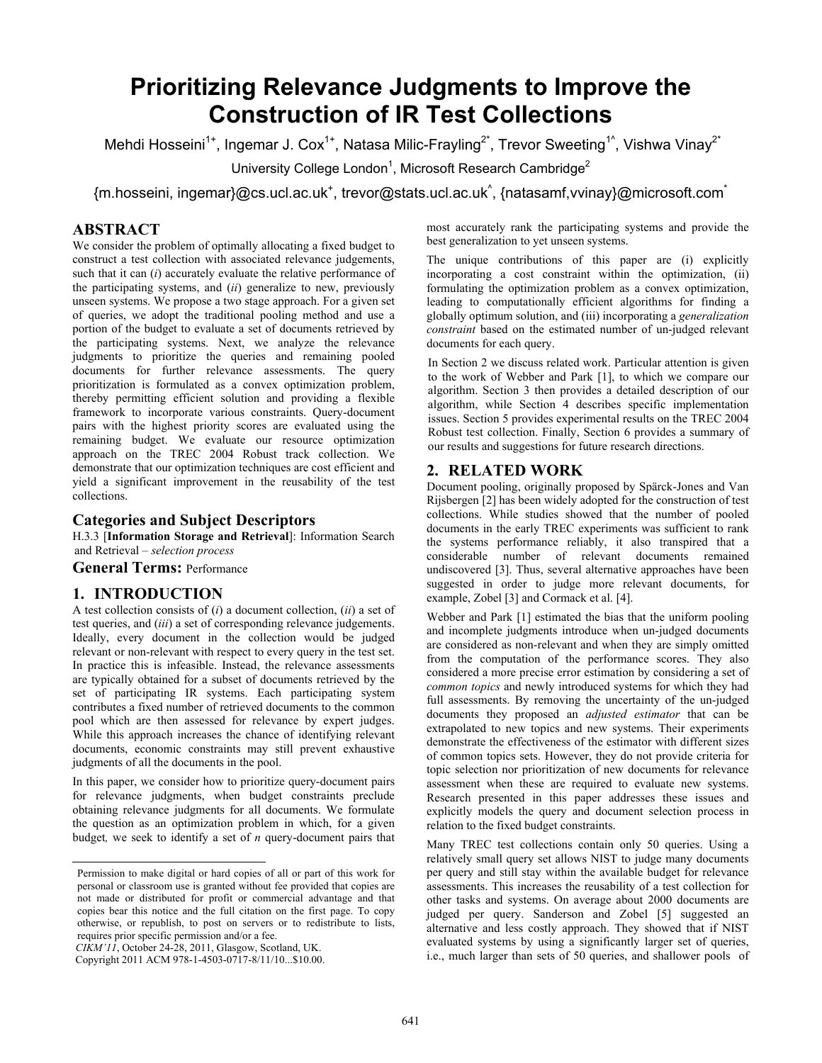# **Prioritizing Relevance Judgments to Improve the Construction of IR Test Collections**

Mehdi Hosseini<sup>1+</sup>, Ingemar J. Cox<sup>1+</sup>, Natasa Milic-Frayling<sup>2\*</sup>, Trevor Sweeting<sup>1^</sup>, Vishwa Vinay<sup>2\*</sup>

University College London<sup>1</sup>, Microsoft Research Cambridge<sup>2</sup>

{m.hosseini, ingemar}@cs.ucl.ac.uk<sup>+</sup>, trevor@stats.ucl.ac.uk<sup>^</sup>, {natasamf,vvinay}@microsoft.com<sup>\*</sup>

# **ABSTRACT**

We consider the problem of optimally allocating a fixed budget to construct a test collection with associated relevance judgements, such that it can (*i*) accurately evaluate the relative performance of the participating systems, and (*ii*) generalize to new, previously unseen systems. We propose a two stage approach. For a given set of queries, we adopt the traditional pooling method and use a portion of the budget to evaluate a set of documents retrieved by the participating systems. Next, we analyze the relevance judgments to prioritize the queries and remaining pooled documents for further relevance assessments. The query prioritization is formulated as a convex optimization problem, thereby permitting efficient solution and providing a flexible framework to incorporate various constraints. Query-document pairs with the highest priority scores are evaluated using the remaining budget. We evaluate our resource optimization approach on the TREC 2004 Robust track collection. We demonstrate that our optimization techniques are cost efficient and yield a significant improvement in the reusability of the test collections.

# **Categories and Subject Descriptors**

H.3.3 [**Information Storage and Retrieval**]: Information Search and Retrieval – *selection process*

**General Terms:** Performance

# **1. INTRODUCTION**

1

A test collection consists of (*i*) a document collection, (*ii*) a set of test queries, and (*iii*) a set of corresponding relevance judgements. Ideally, every document in the collection would be judged relevant or non-relevant with respect to every query in the test set. In practice this is infeasible. Instead, the relevance assessments are typically obtained for a subset of documents retrieved by the set of participating IR systems. Each participating system contributes a fixed number of retrieved documents to the common pool which are then assessed for relevance by expert judges. While this approach increases the chance of identifying relevant documents, economic constraints may still prevent exhaustive judgments of all the documents in the pool.

In this paper, we consider how to prioritize query-document pairs for relevance judgments, when budget constraints preclude obtaining relevance judgments for all documents. We formulate the question as an optimization problem in which, for a given budget*,* we seek to identify a set of *n* query-document pairs that

*CIKM'11*, October 24-28, 2011, Glasgow, Scotland, UK.

most accurately rank the participating systems and provide the best generalization to yet unseen systems.

The unique contributions of this paper are (i) explicitly incorporating a cost constraint within the optimization, (ii) formulating the optimization problem as a convex optimization, leading to computationally efficient algorithms for finding a globally optimum solution, and (iii) incorporating a *generalization constraint* based on the estimated number of un-judged relevant documents for each query.

In Section 2 we discuss related work. Particular attention is given to the work of Webber and Park [1], to which we compare our algorithm. Section 3 then provides a detailed description of our algorithm, while Section 4 describes specific implementation issues. Section 5 provides experimental results on the TREC 2004 Robust test collection. Finally, Section 6 provides a summary of our results and suggestions for future research directions.

## **2. RELATED WORK**

Document pooling, originally proposed by Spärck-Jones and Van Rijsbergen [2] has been widely adopted for the construction of test collections. While studies showed that the number of pooled documents in the early TREC experiments was sufficient to rank the systems performance reliably, it also transpired that a considerable number of relevant documents remained undiscovered [3]. Thus, several alternative approaches have been suggested in order to judge more relevant documents, for example, Zobel [3] and Cormack et al. [4].

Webber and Park [1] estimated the bias that the uniform pooling and incomplete judgments introduce when un-judged documents are considered as non-relevant and when they are simply omitted from the computation of the performance scores. They also considered a more precise error estimation by considering a set of *common topics* and newly introduced systems for which they had full assessments. By removing the uncertainty of the un-judged documents they proposed an *adjusted estimator* that can be extrapolated to new topics and new systems. Their experiments demonstrate the effectiveness of the estimator with different sizes of common topics sets. However, they do not provide criteria for topic selection nor prioritization of new documents for relevance assessment when these are required to evaluate new systems. Research presented in this paper addresses these issues and explicitly models the query and document selection process in relation to the fixed budget constraints.

Many TREC test collections contain only 50 queries. Using a relatively small query set allows NIST to judge many documents per query and still stay within the available budget for relevance assessments. This increases the reusability of a test collection for other tasks and systems. On average about 2000 documents are judged per query. Sanderson and Zobel [5] suggested an alternative and less costly approach. They showed that if NIST evaluated systems by using a significantly larger set of queries, i.e., much larger than sets of 50 queries, and shallower pools of

Permission to make digital or hard copies of all or part of this work for personal or classroom use is granted without fee provided that copies are not made or distributed for profit or commercial advantage and that copies bear this notice and the full citation on the first page. To copy otherwise, or republish, to post on servers or to redistribute to lists, requires prior specific permission and/or a fee.

Copyright 2011 ACM 978-1-4503-0717-8/11/10...\$10.00.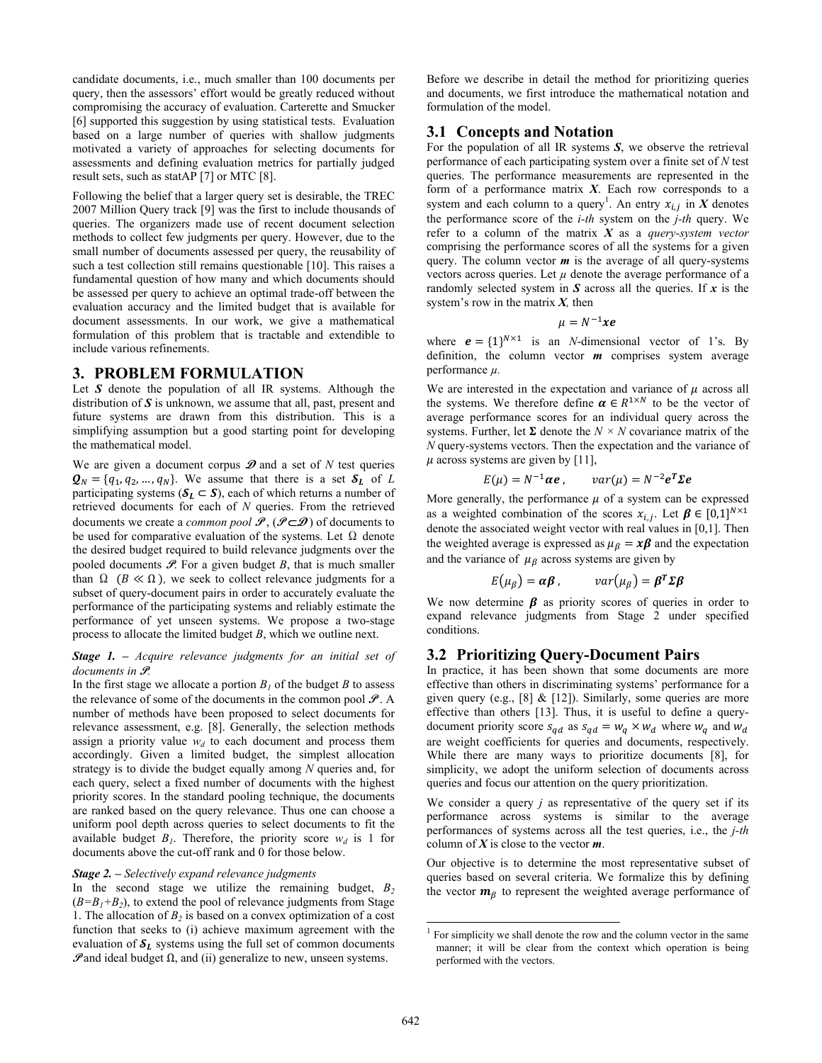candidate documents, i.e., much smaller than 100 documents per query, then the assessors' effort would be greatly reduced without compromising the accuracy of evaluation. Carterette and Smucker [6] supported this suggestion by using statistical tests. Evaluation based on a large number of queries with shallow judgments motivated a variety of approaches for selecting documents for assessments and defining evaluation metrics for partially judged result sets, such as statAP [7] or MTC [8].

Following the belief that a larger query set is desirable, the TREC 2007 Million Query track [9] was the first to include thousands of queries. The organizers made use of recent document selection methods to collect few judgments per query. However, due to the small number of documents assessed per query, the reusability of such a test collection still remains questionable [10]. This raises a fundamental question of how many and which documents should be assessed per query to achieve an optimal trade-off between the evaluation accuracy and the limited budget that is available for document assessments. In our work, we give a mathematical formulation of this problem that is tractable and extendible to include various refinements.

## **3. PROBLEM FORMULATION**

Let S denote the population of all IR systems. Although the distribution of *S* is unknown, we assume that all, past, present and future systems are drawn from this distribution. This is a simplifying assumption but a good starting point for developing the mathematical model.

We are given a document corpus  $\mathcal D$  and a set of  $N$  test queries  $\mathbf{Q}_N = \{q_1, q_2, \dots, q_N\}$ . We assume that there is a set  $\mathbf{S}_L$  of *L* participating systems ( $S_L \subset S$ ), each of which returns a number of retrieved documents for each of *N* queries. From the retrieved documents we create a *common pool*  $\mathcal{P}$ , ( $\mathcal{P} \subset \mathcal{D}$ ) of documents to be used for comparative evaluation of the systems. Let  $\Omega$  denote the desired budget required to build relevance judgments over the pooled documents  $\mathcal{P}$ . For a given budget  $B$ , that is much smaller than  $\Omega$  ( $B \ll \Omega$ ), we seek to collect relevance judgments for a subset of query-document pairs in order to accurately evaluate the performance of the participating systems and reliably estimate the performance of yet unseen systems. We propose a two-stage process to allocate the limited budget *B*, which we outline next.

#### *Stage 1. – Acquire relevance judgments for an initial set of documents in* **P***.*

In the first stage we allocate a portion  $B<sub>I</sub>$  of the budget *B* to assess the relevance of some of the documents in the common pool  $\mathscr{P}$ . A number of methods have been proposed to select documents for relevance assessment, e.g. [8]. Generally, the selection methods assign a priority value  $w_d$  to each document and process them accordingly. Given a limited budget, the simplest allocation strategy is to divide the budget equally among *N* queries and, for each query, select a fixed number of documents with the highest priority scores. In the standard pooling technique, the documents are ranked based on the query relevance. Thus one can choose a uniform pool depth across queries to select documents to fit the available budget  $B_1$ . Therefore, the priority score  $w_d$  is 1 for documents above the cut-off rank and 0 for those below.

#### *Stage 2. – Selectively expand relevance judgments*

In the second stage we utilize the remaining budget,  $B_2$  $(B=B_1+B_2)$ , to extend the pool of relevance judgments from Stage 1. The allocation of  $B_2$  is based on a convex optimization of a cost function that seeks to (i) achieve maximum agreement with the evaluation of  $S_L$  systems using the full set of common documents  $\mathcal P$  and ideal budget Ω, and (ii) generalize to new, unseen systems.

Before we describe in detail the method for prioritizing queries and documents, we first introduce the mathematical notation and formulation of the model.

## **3.1 Concepts and Notation**

For the population of all IR systems *S*, we observe the retrieval performance of each participating system over a finite set of *N* test queries. The performance measurements are represented in the form of a performance matrix *X*. Each row corresponds to a system and each column to a query<sup>1</sup>. An entry  $x_{i,j}$  in *X* denotes the performance score of the *i-th* system on the *j-th* query. We refer to a column of the matrix *X* as a *query-system vector* comprising the performance scores of all the systems for a given query. The column vector *m* is the average of all query-systems vectors across queries. Let  $\mu$  denote the average performance of a randomly selected system in  $S$  across all the queries. If  $x$  is the system's row in the matrix *X,* then

$$
\mu = N^{-1} x e
$$

where  $e = \{1\}^{N \times 1}$  is an *N*-dimensional vector of 1's. By definition, the column vector  $\boldsymbol{m}$  comprises system average performance *µ.*

We are interested in the expectation and variance of  $\mu$  across all the systems. We therefore define  $\alpha \in R^{1 \times N}$  to be the vector of average performance scores for an individual query across the systems. Further, let  $\Sigma$  denote the  $N \times N$  covariance matrix of the *N* query-systems vectors. Then the expectation and the variance of  $\mu$  across systems are given by [11],

$$
E(\mu) = N^{-1} \alpha e, \quad var(\mu) = N^{-2} e^T \Sigma e
$$

More generally, the performance  $\mu$  of a system can be expressed as a weighted combination of the scores  $x_{i,j}$ . Let  $\beta \in [0,1]^{N \times 1}$ denote the associated weight vector with real values in [0,1]. Then the weighted average is expressed as  $\mu_{\beta} = x\beta$  and the expectation and the variance of  $\mu_B$  across systems are given by

$$
E(\mu_\beta) = \alpha \beta
$$
,  $var(\mu_\beta) = \beta^T \Sigma \beta$ 

We now determine  $\beta$  as priority scores of queries in order to expand relevance judgments from Stage 2 under specified conditions.

## **3.2 Prioritizing Query-Document Pairs**

In practice, it has been shown that some documents are more effective than others in discriminating systems' performance for a given query (e.g., [8]  $&$  [12]). Similarly, some queries are more effective than others [13]. Thus, it is useful to define a querydocument priority score  $s_{qd}$  as  $s_{qd} = w_q \times w_d$  where  $w_q$  and  $w_d$ are weight coefficients for queries and documents, respectively. While there are many ways to prioritize documents [8], for simplicity, we adopt the uniform selection of documents across queries and focus our attention on the query prioritization.

We consider a query *j* as representative of the query set if its performance across systems is similar to the average performances of systems across all the test queries, i.e., the *j-th* column of *X* is close to the vector *m*.

Our objective is to determine the most representative subset of queries based on several criteria. We formalize this by defining the vector  $m<sub>β</sub>$  to represent the weighted average performance of

1

 $1$  For simplicity we shall denote the row and the column vector in the same manner; it will be clear from the context which operation is being performed with the vectors.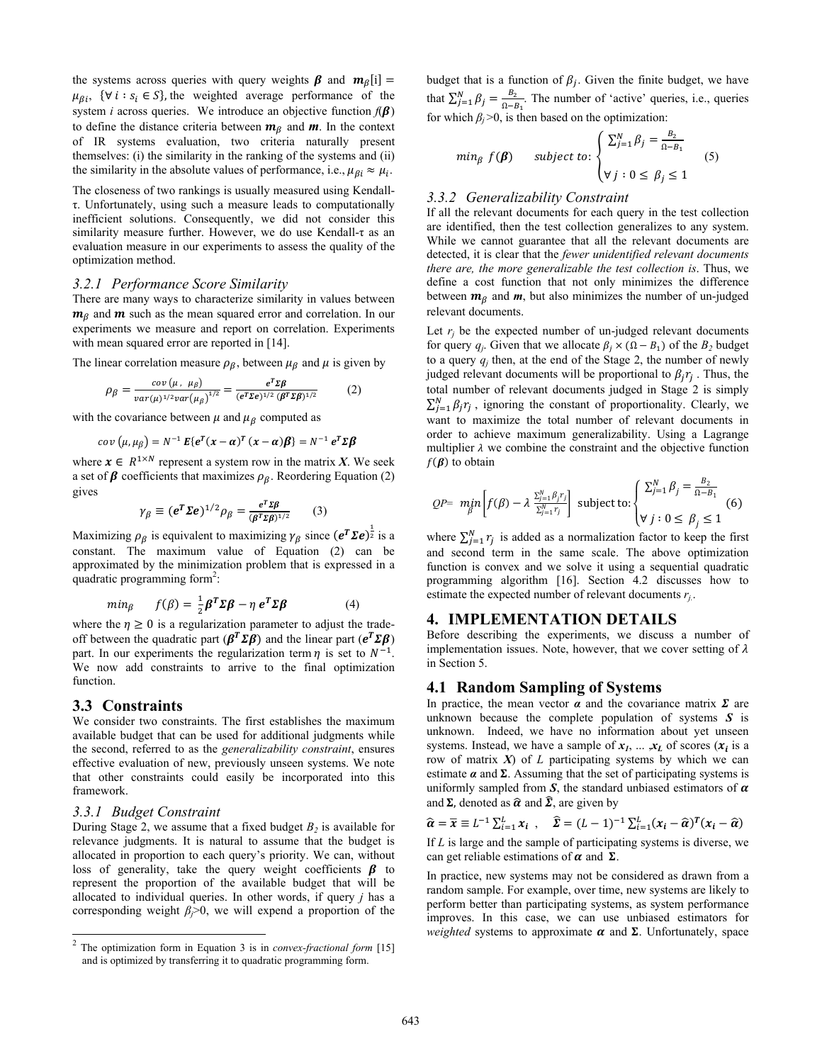the systems across queries with query weights  $\beta$  and  $m_{\beta}[i] =$  $\mu_{\beta i}$ , { $\forall i : s_i \in S$ }, the weighted average performance of the system *i* across queries. We introduce an objective function  $f(\beta)$ to define the distance criteria between  $m_\beta$  and  $m$ . In the context of IR systems evaluation, two criteria naturally present themselves: (i) the similarity in the ranking of the systems and (ii) the similarity in the absolute values of performance, i.e.,  $\mu_{\beta i} \approx \mu_i$ .

The closeness of two rankings is usually measured using Kendallτ. Unfortunately, using such a measure leads to computationally inefficient solutions. Consequently, we did not consider this similarity measure further. However, we do use Kendall-τ as an evaluation measure in our experiments to assess the quality of the optimization method.

#### *3.2.1 Performance Score Similarity*

There are many ways to characterize similarity in values between  $m<sub>β</sub>$  and  $m$  such as the mean squared error and correlation. In our experiments we measure and report on correlation. Experiments with mean squared error are reported in [14].

The linear correlation measure  $\rho_{\beta}$ , between  $\mu_{\beta}$  and  $\mu$  is given by

$$
\rho_{\beta} = \frac{cov(\mu, \ \mu_{\beta})}{var(\mu)^{1/2}var(\mu_{\beta})^{1/2}} = \frac{e^T \Sigma \beta}{(e^T \Sigma e)^{1/2} (\beta^T \Sigma \beta)^{1/2}} \tag{2}
$$

with the covariance between  $\mu$  and  $\mu$ <sub>β</sub> computed as

$$
cov(\mu, \mu_{\beta}) = N^{-1} E \{e^{T}(x - \alpha)^{T}(x - \alpha)\beta\} = N^{-1} e^{T} \Sigma \beta
$$

where  $x \in R^{1 \times N}$  represent a system row in the matrix *X*. We seek a set of  $\beta$  coefficients that maximizes  $\rho_{\beta}$ . Reordering Equation (2) gives

$$
\gamma_{\beta} \equiv (e^T \Sigma e)^{1/2} \rho_{\beta} = \frac{e^T \Sigma \beta}{(\beta^T \Sigma \beta)^{1/2}} \qquad (3)
$$

Maximizing  $\rho_{\beta}$  is equivalent to maximizing  $\gamma_{\beta}$  since  $(e^T \Sigma e)^{\frac{1}{2}}$  is a constant. The maximum value of Equation (2) can be approximated by the minimization problem that is expressed in a quadratic programming form<sup>2</sup>:

$$
min_{\beta} \qquad f(\beta) = \frac{1}{2} \beta^T \Sigma \beta - \eta \ e^T \Sigma \beta \tag{4}
$$

where the  $\eta \geq 0$  is a regularization parameter to adjust the tradeoff between the quadratic part ( $\beta^T \Sigma \beta$ ) and the linear part ( $e^T \Sigma \beta$ ) part. In our experiments the regularization term  $\eta$  is set to  $N^-$ We now add constraints to arrive to the final optimization function.

#### **3.3 Constraints**

We consider two constraints. The first establishes the maximum available budget that can be used for additional judgments while the second, referred to as the *generalizability constraint*, ensures effective evaluation of new, previously unseen systems. We note that other constraints could easily be incorporated into this framework.

### *3.3.1 Budget Constraint*

During Stage 2, we assume that a fixed budget  $B_2$  is available for relevance judgments. It is natural to assume that the budget is allocated in proportion to each query's priority. We can, without loss of generality, take the query weight coefficients  $\beta$  to represent the proportion of the available budget that will be allocated to individual queries. In other words, if query *j* has a corresponding weight  $\beta \geq 0$ , we will expend a proportion of the

budget that is a function of  $\beta_i$ . Given the finite budget, we have that  $\sum_{j=1}^{N} \beta_j = \frac{B_2}{\Omega - B_1}$ . The number of 'active' queries, i.e., queries for which  $\beta$ <sup>*j*</sup>  $>$ 0, is then based on the optimization:

$$
min_{\beta} f(\beta) \qquad subject \ to: \begin{cases} \sum_{j=1}^{N} \beta_j = \frac{B_2}{\Omega - B_1} \\ \forall j : 0 \le \beta_j \le 1 \end{cases} \tag{5}
$$

#### *3.3.2 Generalizability Constraint*

If all the relevant documents for each query in the test collection are identified, then the test collection generalizes to any system. While we cannot guarantee that all the relevant documents are detected, it is clear that the *fewer unidentified relevant documents there are, the more generalizable the test collection is*. Thus, we define a cost function that not only minimizes the difference between  $m<sub>β</sub>$  and  $m$ , but also minimizes the number of un-judged relevant documents.

Let  $r_i$  be the expected number of un-judged relevant documents for query  $q_i$ . Given that we allocate  $\beta_i \times (\Omega - B_1)$  of the  $B_2$  budget to a query  $q_i$  then, at the end of the Stage 2, the number of newly judged relevant documents will be proportional to  $\beta_i r_i$ . Thus, the total number of relevant documents judged in Stage 2 is simply  $\sum_{j=1}^{N} \beta_j r_j$ , ignoring the constant of proportionality. Clearly, we want to maximize the total number of relevant documents in order to achieve maximum generalizability. Using a Lagrange multiplier  $\lambda$  we combine the constraint and the objective function  $f(\boldsymbol{\beta})$  to obtain

$$
QP = \min_{\beta} \left[ f(\beta) - \lambda \frac{\sum_{j=1}^{N} \beta_j r_j}{\sum_{j=1}^{N} r_j} \right] \text{ subject to: } \begin{cases} \sum_{j=1}^{N} \beta_j = \frac{B_2}{\Omega - B_1} \\ \forall j : 0 \le \beta_j \le 1 \end{cases} \tag{6}
$$

where  $\sum_{j=1}^{N} r_j$  is added as a normalization factor to keep the first and second term in the same scale. The above optimization function is convex and we solve it using a sequential quadratic programming algorithm [16]. Section 4.2 discusses how to estimate the expected number of relevant documents  $r_i$ .

## **4. IMPLEMENTATION DETAILS**

Before describing the experiments, we discuss a number of implementation issues. Note, however, that we cover setting of  $\lambda$ in Section 5.

## **4.1 Random Sampling of Systems**

In practice, the mean vector  $\alpha$  and the covariance matrix  $\Sigma$  are unknown because the complete population of systems *S* is unknown. Indeed, we have no information about yet unseen systems. Instead, we have a sample of  $x_1$ , ...  $x_L$  of scores  $(x_i)$  is a row of matrix *X*) of *L* participating systems by which we can estimate  $\alpha$  and  $\Sigma$ . Assuming that the set of participating systems is uniformly sampled from  $S$ , the standard unbiased estimators of  $\alpha$ and  $\Sigma$ , denoted as  $\hat{\alpha}$  and  $\hat{\Sigma}$ , are given by

$$
\widehat{\boldsymbol{\alpha}} = \overline{\boldsymbol{x}} \equiv L^{-1} \sum_{i=1}^{L} x_i , \quad \widehat{\boldsymbol{\Sigma}} = (L-1)^{-1} \sum_{i=1}^{L} (x_i - \widehat{\boldsymbol{\alpha}})^T (x_i - \widehat{\boldsymbol{\alpha}})
$$

If *L* is large and the sample of participating systems is diverse, we can get reliable estimations of  $\alpha$  and  $\Sigma$ .

In practice, new systems may not be considered as drawn from a random sample. For example, over time, new systems are likely to perform better than participating systems, as system performance improves. In this case, we can use unbiased estimators for *weighted* systems to approximate  $\alpha$  and  $\Sigma$ . Unfortunately, space

 $\overline{c}$ <sup>2</sup> The optimization form in Equation 3 is in *convex-fractional form* [15] and is optimized by transferring it to quadratic programming form.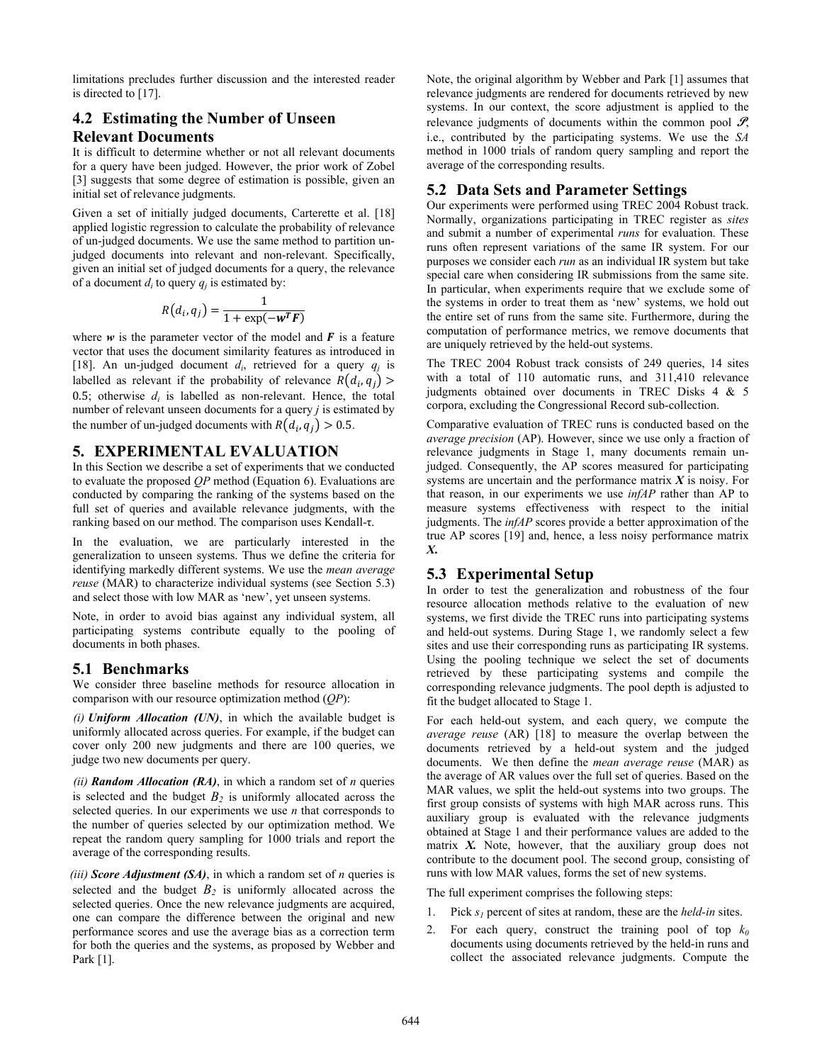limitations precludes further discussion and the interested reader is directed to [17].

# **4.2 Estimating the Number of Unseen Relevant Documents**

It is difficult to determine whether or not all relevant documents for a query have been judged. However, the prior work of Zobel [3] suggests that some degree of estimation is possible, given an initial set of relevance judgments.

Given a set of initially judged documents, Carterette et al. [18] applied logistic regression to calculate the probability of relevance of un-judged documents. We use the same method to partition unjudged documents into relevant and non-relevant. Specifically, given an initial set of judged documents for a query, the relevance of a document  $d_i$  to query  $q_i$  is estimated by:

$$
R(d_i, q_j) = \frac{1}{1 + \exp(-\mathbf{w}^T \mathbf{F})}
$$

where  $w$  is the parameter vector of the model and  $\bf{F}$  is a feature vector that uses the document similarity features as introduced in [18]. An un-judged document  $d_i$ , retrieved for a query  $q_j$  is labelled as relevant if the probability of relevance  $R(d_i, q_j)$ 0.5; otherwise  $d_i$  is labelled as non-relevant. Hence, the total number of relevant unseen documents for a query *j* is estimated by the number of un-judged documents with  $R(d_i, q_i) > 0.5$ .

## **5. EXPERIMENTAL EVALUATION**

In this Section we describe a set of experiments that we conducted to evaluate the proposed *QP* method (Equation 6). Evaluations are conducted by comparing the ranking of the systems based on the full set of queries and available relevance judgments, with the ranking based on our method. The comparison uses Kendall-τ.

In the evaluation, we are particularly interested in the generalization to unseen systems. Thus we define the criteria for identifying markedly different systems. We use the *mean average reuse* (MAR) to characterize individual systems (see Section 5.3) and select those with low MAR as 'new', yet unseen systems.

Note, in order to avoid bias against any individual system, all participating systems contribute equally to the pooling of documents in both phases.

## **5.1 Benchmarks**

We consider three baseline methods for resource allocation in comparison with our resource optimization method (*QP*):

*(i) Uniform Allocation (UN)*, in which the available budget is uniformly allocated across queries. For example, if the budget can cover only 200 new judgments and there are 100 queries, we judge two new documents per query.

*(ii) Random Allocation (RA)*, in which a random set of *n* queries is selected and the budget  $B_2$  is uniformly allocated across the selected queries. In our experiments we use *n* that corresponds to the number of queries selected by our optimization method. We repeat the random query sampling for 1000 trials and report the average of the corresponding results.

*(iii) Score Adjustment (SA)*, in which a random set of *n* queries is selected and the budget  $B_2$  is uniformly allocated across the selected queries. Once the new relevance judgments are acquired. one can compare the difference between the original and new performance scores and use the average bias as a correction term for both the queries and the systems, as proposed by Webber and Park [1].

Note, the original algorithm by Webber and Park [1] assumes that relevance judgments are rendered for documents retrieved by new systems. In our context, the score adjustment is applied to the relevance judgments of documents within the common pool  $\mathscr{P}$ , i.e., contributed by the participating systems. We use the *SA* method in 1000 trials of random query sampling and report the average of the corresponding results.

## **5.2 Data Sets and Parameter Settings**

Our experiments were performed using TREC 2004 Robust track. Normally, organizations participating in TREC register as *sites*  and submit a number of experimental *runs* for evaluation. These runs often represent variations of the same IR system. For our purposes we consider each *run* as an individual IR system but take special care when considering IR submissions from the same site. In particular, when experiments require that we exclude some of the systems in order to treat them as 'new' systems, we hold out the entire set of runs from the same site. Furthermore, during the computation of performance metrics, we remove documents that are uniquely retrieved by the held-out systems.

The TREC 2004 Robust track consists of 249 queries, 14 sites with a total of 110 automatic runs, and 311,410 relevance judgments obtained over documents in TREC Disks 4 & 5 corpora, excluding the Congressional Record sub-collection.

Comparative evaluation of TREC runs is conducted based on the *average precision* (AP). However, since we use only a fraction of relevance judgments in Stage 1, many documents remain unjudged. Consequently, the AP scores measured for participating systems are uncertain and the performance matrix *X* is noisy. For that reason, in our experiments we use *infAP* rather than AP to measure systems effectiveness with respect to the initial judgments. The *infAP* scores provide a better approximation of the true AP scores [19] and, hence, a less noisy performance matrix *X***.**

## **5.3 Experimental Setup**

In order to test the generalization and robustness of the four resource allocation methods relative to the evaluation of new systems, we first divide the TREC runs into participating systems and held-out systems. During Stage 1, we randomly select a few sites and use their corresponding runs as participating IR systems. Using the pooling technique we select the set of documents retrieved by these participating systems and compile the corresponding relevance judgments. The pool depth is adjusted to fit the budget allocated to Stage 1.

For each held-out system, and each query, we compute the *average reuse* (AR) [18] to measure the overlap between the documents retrieved by a held-out system and the judged documents. We then define the *mean average reuse* (MAR) as the average of AR values over the full set of queries. Based on the MAR values, we split the held-out systems into two groups. The first group consists of systems with high MAR across runs. This auxiliary group is evaluated with the relevance judgments obtained at Stage 1 and their performance values are added to the matrix *X.* Note, however, that the auxiliary group does not contribute to the document pool. The second group, consisting of runs with low MAR values, forms the set of new systems.

The full experiment comprises the following steps:

- 1. Pick *s1* percent of sites at random, these are the *held-in* sites.
- 2. For each query, construct the training pool of top  $k_0$ documents using documents retrieved by the held-in runs and collect the associated relevance judgments. Compute the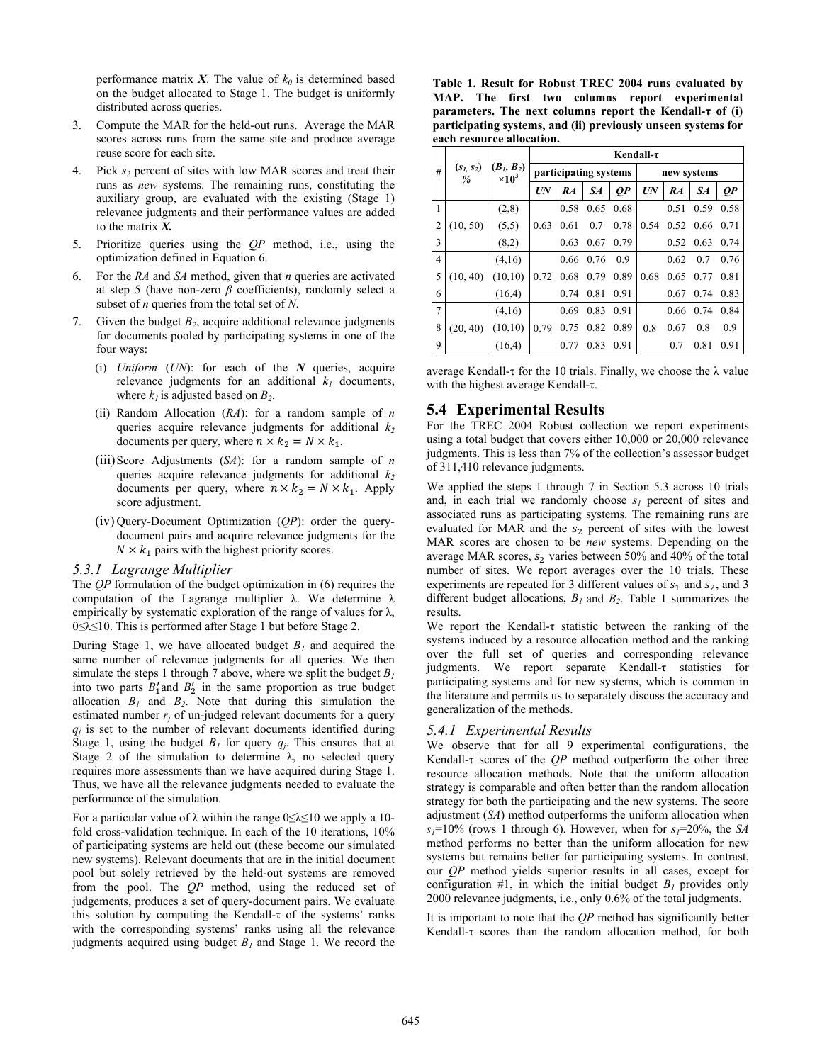performance matrix  $X$ . The value of  $k_0$  is determined based on the budget allocated to Stage 1. The budget is uniformly distributed across queries.

- 3. Compute the MAR for the held-out runs. Average the MAR scores across runs from the same site and produce average reuse score for each site.
- 4. Pick *s2* percent of sites with low MAR scores and treat their runs as *new* systems. The remaining runs, constituting the auxiliary group, are evaluated with the existing (Stage 1) relevance judgments and their performance values are added to the matrix *X.*
- 5. Prioritize queries using the *QP* method, i.e., using the optimization defined in Equation 6.
- 6. For the *RA* and *SA* method, given that *n* queries are activated at step 5 (have non-zero *β* coefficients), randomly select a subset of *n* queries from the total set of *N*.
- Given the budget *B<sub>2</sub>*, acquire additional relevance judgments for documents pooled by participating systems in one of the four ways:
	- (i) *Uniform* (*UN*): for each of the *N* queries, acquire relevance judgments for an additional  $k_l$  documents, where  $k_1$  is adjusted based on  $B_2$ .
	- (ii) Random Allocation (*RA*): for a random sample of *n*  queries acquire relevance judgments for additional  $k_2$ documents per query, where  $n \times k_2 = N \times k_1$ .
	- (iii)Score Adjustments (*SA*): for a random sample of *n*  queries acquire relevance judgments for additional  $k_2$ documents per query, where  $n \times k_2 = N \times k_1$ . Apply score adjustment.
	- (iv) Query-Document Optimization (*QP*): order the querydocument pairs and acquire relevance judgments for the  $N \times k_1$  pairs with the highest priority scores.

#### *5.3.1 Lagrange Multiplier*

The *QP* formulation of the budget optimization in (6) requires the computation of the Lagrange multiplier λ. We determine λ empirically by systematic exploration of the range of values for  $\lambda$ , 0≤λ≤10. This is performed after Stage 1 but before Stage 2.

During Stage 1, we have allocated budget  $B_1$  and acquired the same number of relevance judgments for all queries. We then simulate the steps 1 through 7 above, where we split the budget  $B_1$ into two parts  $B'_1$  and  $B'_2$  in the same proportion as true budget allocation  $B_1$  and  $B_2$ . Note that during this simulation the estimated number  $r_i$  of un-judged relevant documents for a query  $q_i$  is set to the number of relevant documents identified during Stage 1, using the budget  $B_l$  for query  $q_i$ . This ensures that at Stage 2 of the simulation to determine  $\lambda$ , no selected query requires more assessments than we have acquired during Stage 1. Thus, we have all the relevance judgments needed to evaluate the performance of the simulation.

For a particular value of  $\lambda$  within the range 0≤ $\lambda$ ≤10 we apply a 10fold cross-validation technique. In each of the 10 iterations, 10% of participating systems are held out (these become our simulated new systems). Relevant documents that are in the initial document pool but solely retrieved by the held-out systems are removed from the pool. The *QP* method, using the reduced set of judgements, produces a set of query-document pairs. We evaluate this solution by computing the Kendall- $\tau$  of the systems' ranks with the corresponding systems' ranks using all the relevance judgments acquired using budget  $B_1$  and Stage 1. We record the

**Table 1. Result for Robust TREC 2004 runs evaluated by MAP. The first two columns report experimental parameters. The next columns report the Kendall-τ of (i) participating systems, and (ii) previously unseen systems for each resource allocation.** 

| #              | $(s_1, s_2)$<br>% | $(B_1, B_2)$<br>$\times 10^3$ | Kendall- $\tau$       |      |      |      |             |      |      |           |
|----------------|-------------------|-------------------------------|-----------------------|------|------|------|-------------|------|------|-----------|
|                |                   |                               | participating systems |      |      |      | new systems |      |      |           |
|                |                   |                               | UN                    | RA   | SА   | QР   | UN          | RA   | SA.  | <b>OP</b> |
| 1              | (10, 50)          | (2,8)                         | 0.63                  | 0.58 | 0.65 | 0.68 | 0.54        | 0.51 | 0.59 | 0.58      |
| $\overline{2}$ |                   | (5,5)                         |                       | 0.61 | 0.7  | 0.78 |             | 0.52 | 0.66 | 0.71      |
| 3              |                   | (8,2)                         |                       | 0.63 | 0.67 | 0.79 |             | 0.52 | 0.63 | 0.74      |
| 4              | (10, 40)          | (4,16)                        | 0.72                  | 0.66 | 0.76 | 0.9  | 0.68        | 0.62 | 0.7  | 0.76      |
| 5              |                   | (10,10)                       |                       | 0.68 | 0.79 | 0.89 |             | 0.65 | 0.77 | 0.81      |
| 6              |                   | (16,4)                        |                       | 0.74 | 0.81 | 0.91 |             | 0.67 | 0.74 | 0.83      |
| 7              | (20, 40)          | (4,16)                        | 0.79                  | 0.69 | 0.83 | 0.91 | 0.8         | 0.66 | 0.74 | 0.84      |
| 8              |                   | (10,10)                       |                       | 0.75 | 0.82 | 0.89 |             | 0.67 | 0.8  | 0.9       |
| 9              |                   | (16.4)                        |                       | 0.77 | 0.83 | 0.91 |             | 0.7  | 0.81 | 0.91      |

average Kendall-τ for the 10 trials. Finally, we choose the λ value with the highest average Kendall-τ.

## **5.4 Experimental Results**

For the TREC 2004 Robust collection we report experiments using a total budget that covers either 10,000 or 20,000 relevance judgments. This is less than 7% of the collection's assessor budget of 311,410 relevance judgments.

We applied the steps 1 through 7 in Section 5.3 across 10 trials and, in each trial we randomly choose  $s_l$  percent of sites and associated runs as participating systems. The remaining runs are evaluated for MAR and the  $s_2$  percent of sites with the lowest MAR scores are chosen to be *new* systems. Depending on the average MAR scores,  $s_2$  varies between 50% and 40% of the total number of sites. We report averages over the 10 trials. These experiments are repeated for 3 different values of  $s_1$  and  $s_2$ , and 3 different budget allocations,  $B_1$  and  $B_2$ . Table 1 summarizes the results.

We report the Kendall-τ statistic between the ranking of the systems induced by a resource allocation method and the ranking over the full set of queries and corresponding relevance judgments. We report separate Kendall-τ statistics for participating systems and for new systems, which is common in the literature and permits us to separately discuss the accuracy and generalization of the methods.

#### *5.4.1 Experimental Results*

We observe that for all 9 experimental configurations, the Kendall-τ scores of the *QP* method outperform the other three resource allocation methods. Note that the uniform allocation strategy is comparable and often better than the random allocation strategy for both the participating and the new systems. The score adjustment (*SA*) method outperforms the uniform allocation when  $s_1=10\%$  (rows 1 through 6). However, when for  $s_1=20\%$ , the *SA* method performs no better than the uniform allocation for new systems but remains better for participating systems. In contrast, our *QP* method yields superior results in all cases, except for configuration  $#1$ , in which the initial budget  $B<sub>I</sub>$  provides only 2000 relevance judgments, i.e., only 0.6% of the total judgments.

It is important to note that the *QP* method has significantly better Kendall-τ scores than the random allocation method, for both